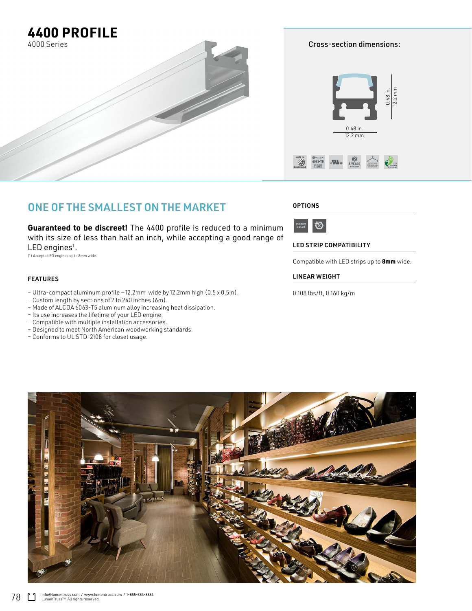

ONE OF THE SMALLEST ON THE MARKET

**Guaranteed to be discreet!** The 4400 profile is reduced to a minimum with its size of less than half an inch, while accepting a good range of  $LED$  engines<sup>1</sup>.

(1) Accepts LED engines up to 8mm wide.

## FEATURES

- Ultra-compact aluminum profile 12.2mm wide by 12.2mm high (0.5 x 0.5in).
- Custom length by sections of 2 to 240 inches (6m).
- Made of ALCOA 6063-T5 aluminum alloy increasing heat dissipation.
- Its use increases the lifetime of your LED engine.
- Compatible with multiple installation accessories.
- Designed to meet North American woodworking standards.
- Conforms to UL STD. 2108 for closet usage.

## **OPTIONS**



LED STRIP COMPATIBILITY

Compatible with LED strips up to **8mm** wide.

## LINEAR WEIGHT

0.108 lbs/ft, 0.160 kg/m



Cross-section dimensions: